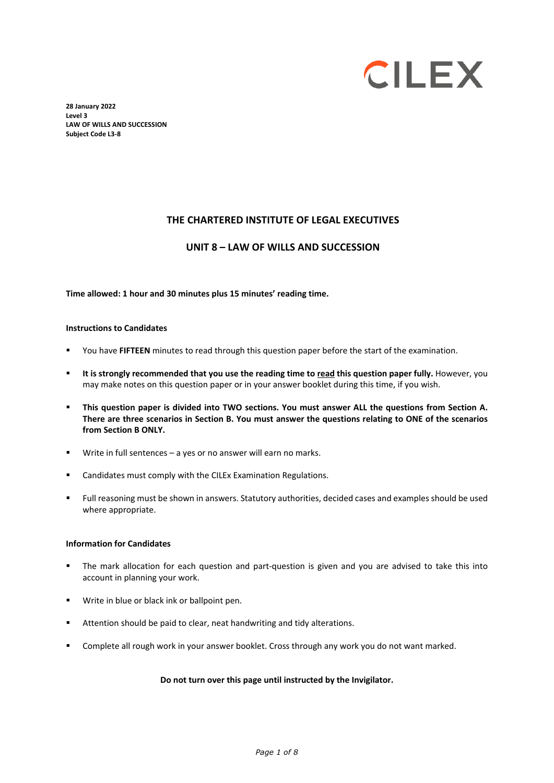

**28 January 2022 Level 3 LAW OF WILLS AND SUCCESSION Subject Code L3-8** 

#### **THE CHARTERED INSTITUTE OF LEGAL EXECUTIVES**

#### **UNIT 8 – LAW OF WILLS AND SUCCESSION**

#### **Time allowed: 1 hour and 30 minutes plus 15 minutes' reading time.**

#### **Instructions to Candidates**

- You have **FIFTEEN** minutes to read through this question paper before the start of the examination.
- **It is strongly recommended that you use the reading time to read this question paper fully.** However, you may make notes on this question paper or in your answer booklet during this time, if you wish.
- **This question paper is divided into TWO sections. You must answer ALL the questions from Section A. There are three scenarios in Section B. You must answer the questions relating to ONE of the scenarios from Section B ONLY.**
- Write in full sentences a yes or no answer will earn no marks.
- Candidates must comply with the CILEx Examination Regulations.
- Full reasoning must be shown in answers. Statutory authorities, decided cases and examples should be used where appropriate.

#### **Information for Candidates**

- The mark allocation for each question and part-question is given and you are advised to take this into account in planning your work.
- Write in blue or black ink or ballpoint pen.
- **Attention should be paid to clear, neat handwriting and tidy alterations.**
- Complete all rough work in your answer booklet. Cross through any work you do not want marked.

#### **Do not turn over this page until instructed by the Invigilator.**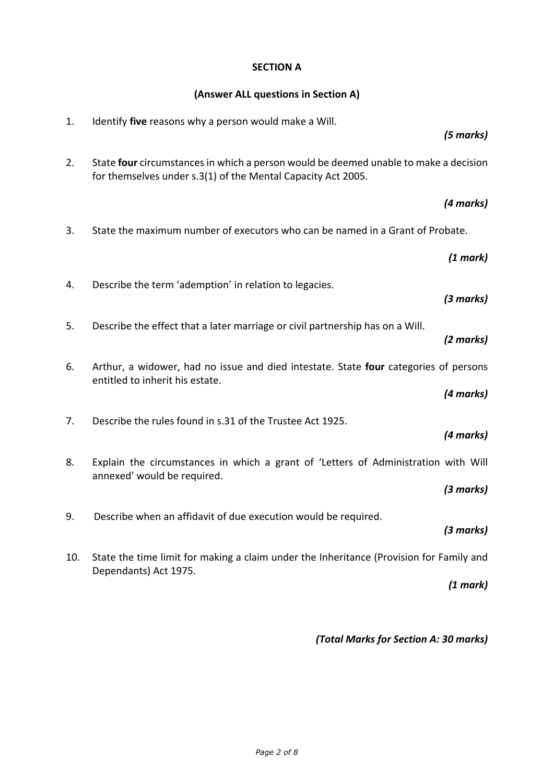## **SECTION A**

## **(Answer ALL questions in Section A)**

| 1.  | Identify five reasons why a person would make a Will.                                                                                                | (5 marks) |
|-----|------------------------------------------------------------------------------------------------------------------------------------------------------|-----------|
| 2.  | State four circumstances in which a person would be deemed unable to make a decision<br>for themselves under s.3(1) of the Mental Capacity Act 2005. |           |
|     |                                                                                                                                                      | (4 marks) |
| 3.  | State the maximum number of executors who can be named in a Grant of Probate.                                                                        |           |
|     |                                                                                                                                                      | (1 mark)  |
| 4.  | Describe the term 'ademption' in relation to legacies.                                                                                               | (3 marks) |
| 5.  | Describe the effect that a later marriage or civil partnership has on a Will.                                                                        | (2 marks) |
| 6.  | Arthur, a widower, had no issue and died intestate. State four categories of persons<br>entitled to inherit his estate.                              |           |
|     |                                                                                                                                                      | (4 marks) |
| 7.  | Describe the rules found in s.31 of the Trustee Act 1925.                                                                                            | (4 marks) |
| 8.  | Explain the circumstances in which a grant of 'Letters of Administration with Will<br>annexed' would be required.                                    |           |
|     |                                                                                                                                                      | (3 marks) |
| 9.  | Describe when an affidavit of due execution would be required.                                                                                       | (3 marks) |
| 10. | State the time limit for making a claim under the Inheritance (Provision for Family and<br>Dependants) Act 1975.                                     |           |
|     |                                                                                                                                                      | (1 mark)  |
|     |                                                                                                                                                      |           |

*(Total Marks for Section A: 30 marks)*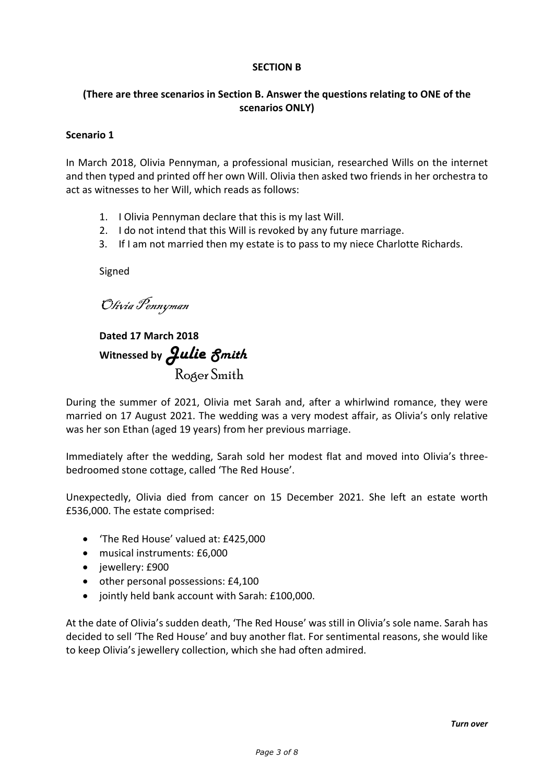## **SECTION B**

## **(There are three scenarios in Section B. Answer the questions relating to ONE of the scenarios ONLY)**

## **Scenario 1**

In March 2018, Olivia Pennyman, a professional musician, researched Wills on the internet and then typed and printed off her own Will. Olivia then asked two friends in her orchestra to act as witnesses to her Will, which reads as follows:

- 1. I Olivia Pennyman declare that this is my last Will.
- 2. I do not intend that this Will is revoked by any future marriage.
- 3. If I am not married then my estate is to pass to my niece Charlotte Richards.

Signed

Olivia Pennyman

**Dated 17 March 2018** Witnessed by **Julie** *Smith* Roger Smith

During the summer of 2021, Olivia met Sarah and, after a whirlwind romance, they were married on 17 August 2021. The wedding was a very modest affair, as Olivia's only relative was her son Ethan (aged 19 years) from her previous marriage.

Immediately after the wedding, Sarah sold her modest flat and moved into Olivia's threebedroomed stone cottage, called 'The Red House'.

Unexpectedly, Olivia died from cancer on 15 December 2021. She left an estate worth £536,000. The estate comprised:

- 'The Red House' valued at: £425,000
- musical instruments: £6,000
- jewellery: £900
- other personal possessions: £4,100
- jointly held bank account with Sarah: £100,000.

At the date of Olivia's sudden death, 'The Red House' was still in Olivia's sole name. Sarah has decided to sell 'The Red House' and buy another flat. For sentimental reasons, she would like to keep Olivia's jewellery collection, which she had often admired.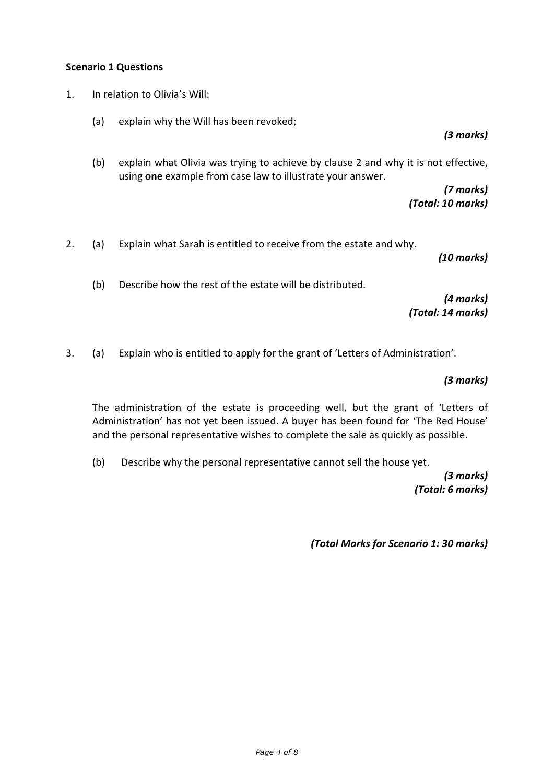#### **Scenario 1 Questions**

- 1. In relation to Olivia's Will:
	- (a) explain why the Will has been revoked;

(b) explain what Olivia was trying to achieve by clause 2 and why it is not effective, using **one** example from case law to illustrate your answer.

> *(7 marks) (Total: 10 marks)*

2. (a) Explain what Sarah is entitled to receive from the estate and why.

*(10 marks)*

*(3 marks)*

(b) Describe how the rest of the estate will be distributed.

*(4 marks) (Total: 14 marks)*

3. (a) Explain who is entitled to apply for the grant of 'Letters of Administration'.

*(3 marks)*

The administration of the estate is proceeding well, but the grant of 'Letters of Administration' has not yet been issued. A buyer has been found for 'The Red House' and the personal representative wishes to complete the sale as quickly as possible.

(b) Describe why the personal representative cannot sell the house yet.

*(3 marks) (Total: 6 marks)*

*(Total Marks for Scenario 1: 30 marks)*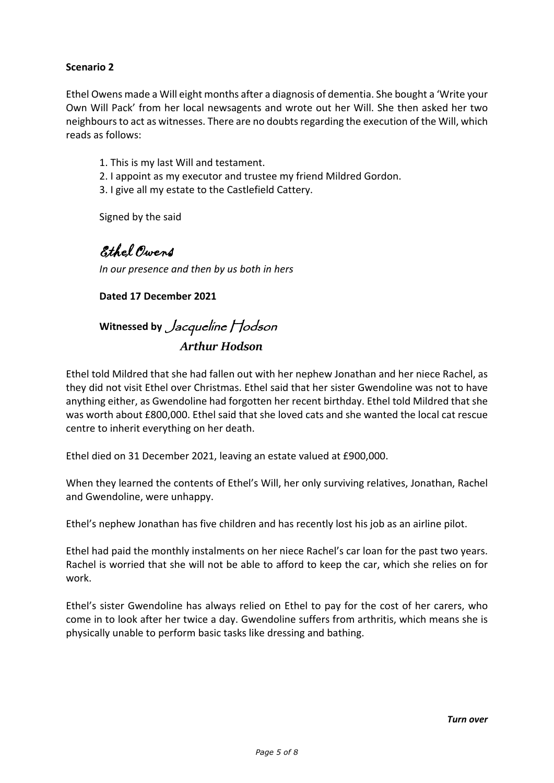## **Scenario 2**

Ethel Owens made a Will eight months after a diagnosis of dementia. She bought a 'Write your Own Will Pack' from her local newsagents and wrote out her Will. She then asked her two neighbours to act as witnesses. There are no doubts regarding the execution of the Will, which reads as follows:

- 1. This is my last Will and testament.
- 2. I appoint as my executor and trustee my friend Mildred Gordon.
- 3. I give all my estate to the Castlefield Cattery.

Signed by the said

Ethel Owens

*In our presence and then by us both in hers*

**Dated 17 December 2021**

## Witnessed by *Jacqueline* Hodson  *Arthur Hodson*

Ethel told Mildred that she had fallen out with her nephew Jonathan and her niece Rachel, as they did not visit Ethel over Christmas. Ethel said that her sister Gwendoline was not to have anything either, as Gwendoline had forgotten her recent birthday. Ethel told Mildred that she was worth about £800,000. Ethel said that she loved cats and she wanted the local cat rescue centre to inherit everything on her death.

Ethel died on 31 December 2021, leaving an estate valued at £900,000.

When they learned the contents of Ethel's Will, her only surviving relatives, Jonathan, Rachel and Gwendoline, were unhappy.

Ethel's nephew Jonathan has five children and has recently lost his job as an airline pilot.

Ethel had paid the monthly instalments on her niece Rachel's car loan for the past two years. Rachel is worried that she will not be able to afford to keep the car, which she relies on for work.

Ethel's sister Gwendoline has always relied on Ethel to pay for the cost of her carers, who come in to look after her twice a day. Gwendoline suffers from arthritis, which means she is physically unable to perform basic tasks like dressing and bathing.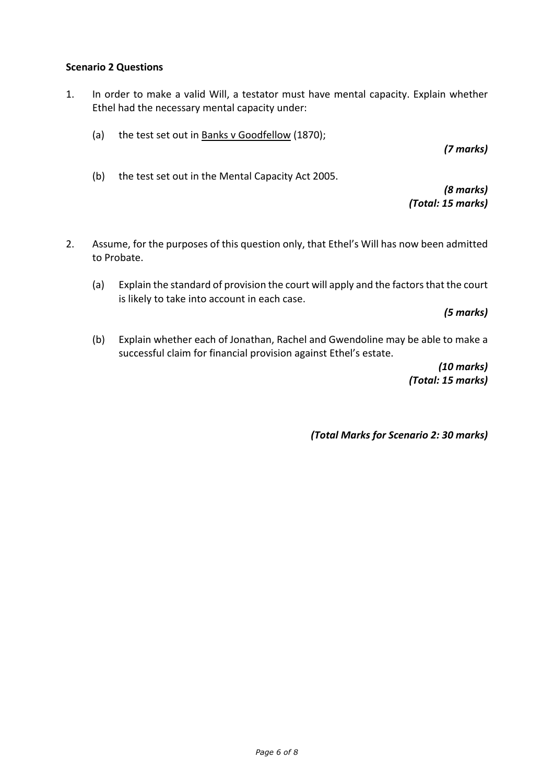## **Scenario 2 Questions**

- 1. In order to make a valid Will, a testator must have mental capacity. Explain whether Ethel had the necessary mental capacity under:
	- (a) the test set out in Banks v Goodfellow (1870);

*(7 marks)*

(b) the test set out in the Mental Capacity Act 2005.

*(8 marks) (Total: 15 marks)*

- 2. Assume, for the purposes of this question only, that Ethel's Will has now been admitted to Probate.
	- (a) Explain the standard of provision the court will apply and the factors that the court is likely to take into account in each case.

*(5 marks)*

(b) Explain whether each of Jonathan, Rachel and Gwendoline may be able to make a successful claim for financial provision against Ethel's estate.

> *(10 marks) (Total: 15 marks)*

*(Total Marks for Scenario 2: 30 marks)*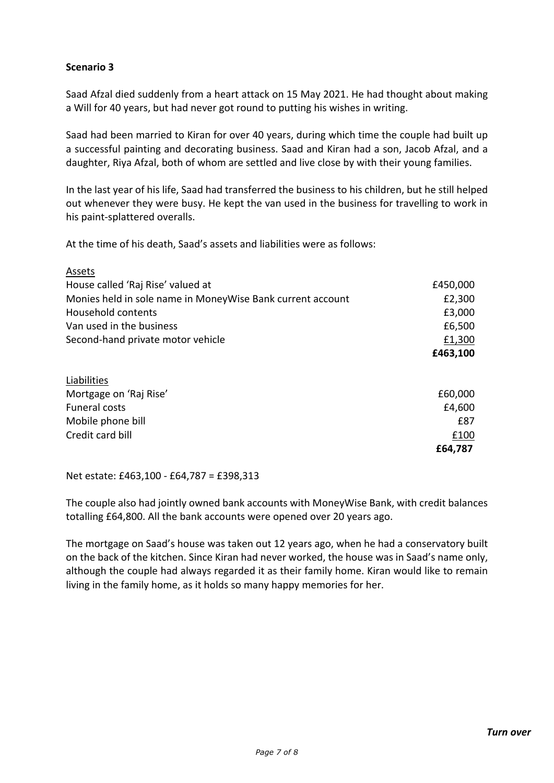## **Scenario 3**

Saad Afzal died suddenly from a heart attack on 15 May 2021. He had thought about making a Will for 40 years, but had never got round to putting his wishes in writing.

Saad had been married to Kiran for over 40 years, during which time the couple had built up a successful painting and decorating business. Saad and Kiran had a son, Jacob Afzal, and a daughter, Riya Afzal, both of whom are settled and live close by with their young families.

In the last year of his life, Saad had transferred the business to his children, but he still helped out whenever they were busy. He kept the van used in the business for travelling to work in his paint-splattered overalls.

At the time of his death, Saad's assets and liabilities were as follows:

| Assets                                                     |          |
|------------------------------------------------------------|----------|
| House called 'Raj Rise' valued at                          | £450,000 |
| Monies held in sole name in MoneyWise Bank current account | £2,300   |
| Household contents                                         | £3,000   |
| Van used in the business                                   | £6,500   |
| Second-hand private motor vehicle                          | £1,300   |
|                                                            | £463,100 |
|                                                            |          |
| Liabilities                                                |          |
| Mortgage on 'Raj Rise'                                     | £60,000  |
| Funeral costs                                              | £4,600   |
| Mobile phone bill                                          | £87      |
| Credit card bill                                           | £100     |
|                                                            | £64,787  |

Net estate: £463,100 - £64,787 = £398,313

The couple also had jointly owned bank accounts with MoneyWise Bank, with credit balances totalling £64,800. All the bank accounts were opened over 20 years ago.

The mortgage on Saad's house was taken out 12 years ago, when he had a conservatory built on the back of the kitchen. Since Kiran had never worked, the house was in Saad's name only, although the couple had always regarded it as their family home. Kiran would like to remain living in the family home, as it holds so many happy memories for her.